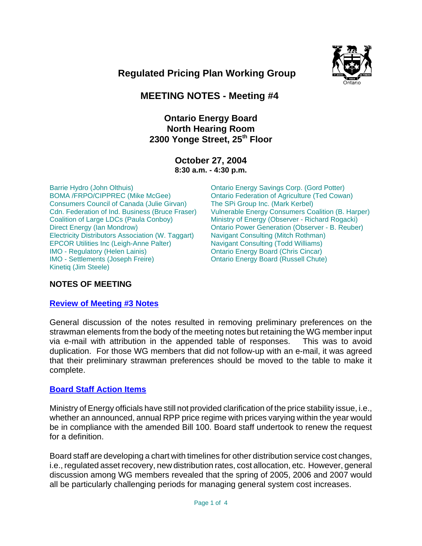

 **Regulated Pricing Plan Working Group**

# **MEETING NOTES - Meeting #4**

## **Ontario Energy Board North Hearing Room** 2300 Yonge Street, 25<sup>th</sup> Floor

#### **October 27, 2004 8:30 a.m. - 4:30 p.m.**

Barrie Hydro (John Olthuis) BOMA /FRPO/CIPPREC (Mike McGee) Consumers Council of Canada (Julie Girvan) Cdn. Federation of Ind. Business (Bruce Fraser) Coalition of Large LDCs (Paula Conboy) Direct Energy (Ian Mondrow) Electricity Distributors Association (W. Taggart) EPCOR Utilities Inc (Leigh-Anne Palter) IMO - Regulatory (Helen Lainis) IMO - Settlements (Joseph Freire) Kinetiq (Jim Steele)

Ontario Energy Savings Corp. (Gord Potter) Ontario Federation of Agriculture (Ted Cowan) The SPi Group Inc. (Mark Kerbel) Vulnerable Energy Consumers Coalition (B. Harper) Ministry of Energy (Observer - Richard Rogacki) Ontario Power Generation (Observer - B. Reuber) Navigant Consulting (Mitch Rothman) Navigant Consulting (Todd Williams) Ontario Energy Board (Chris Cincar) Ontario Energy Board (Russell Chute)

## **NOTES OF MEETING**

#### **Review of Meeting #3 Notes**

General discussion of the notes resulted in removing preliminary preferences on the strawman elements from the body of the meeting notes but retaining the WG member input via e-mail with attribution in the appended table of responses. This was to avoid duplication. For those WG members that did not follow-up with an e-mail, it was agreed that their preliminary strawman preferences should be moved to the table to make it complete.

#### **Board Staff Action Items**

Ministry of Energy officials have still not provided clarification of the price stability issue, i.e., whether an announced, annual RPP price regime with prices varying within the year would be in compliance with the amended Bill 100. Board staff undertook to renew the request for a definition.

Board staff are developing a chart with timelines for other distribution service cost changes, i.e., regulated asset recovery, new distribution rates, cost allocation, etc. However, general discussion among WG members revealed that the spring of 2005, 2006 and 2007 would all be particularly challenging periods for managing general system cost increases.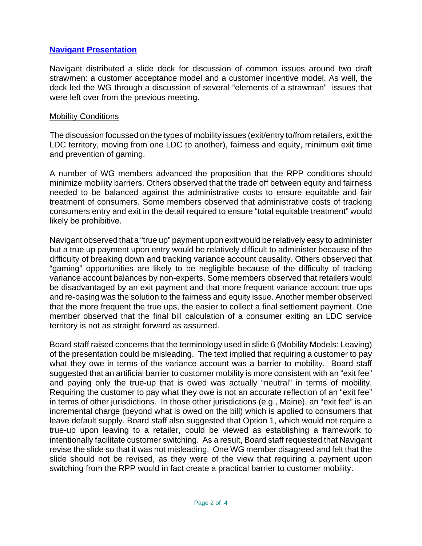### **Navigant Presentation**

Navigant distributed a slide deck for discussion of common issues around two draft strawmen: a customer acceptance model and a customer incentive model. As well, the deck led the WG through a discussion of several "elements of a strawman" issues that were left over from the previous meeting.

#### Mobility Conditions

The discussion focussed on the types of mobility issues (exit/entry to/from retailers, exit the LDC territory, moving from one LDC to another), fairness and equity, minimum exit time and prevention of gaming.

A number of WG members advanced the proposition that the RPP conditions should minimize mobility barriers. Others observed that the trade off between equity and fairness needed to be balanced against the administrative costs to ensure equitable and fair treatment of consumers. Some members observed that administrative costs of tracking consumers entry and exit in the detail required to ensure "total equitable treatment" would likely be prohibitive.

Navigant observed that a "true up" payment upon exit would be relatively easy to administer but a true up payment upon entry would be relatively difficult to administer because of the difficulty of breaking down and tracking variance account causality. Others observed that "gaming" opportunities are likely to be negligible because of the difficulty of tracking variance account balances by non-experts. Some members observed that retailers would be disadvantaged by an exit payment and that more frequent variance account true ups and re-basing was the solution to the fairness and equity issue. Another member observed that the more frequent the true ups, the easier to collect a final settlement payment. One member observed that the final bill calculation of a consumer exiting an LDC service territory is not as straight forward as assumed.

Board staff raised concerns that the terminology used in slide 6 (Mobility Models: Leaving) of the presentation could be misleading. The text implied that requiring a customer to pay what they owe in terms of the variance account was a barrier to mobility. Board staff suggested that an artificial barrier to customer mobility is more consistent with an "exit fee" and paying only the true-up that is owed was actually "neutral" in terms of mobility. Requiring the customer to pay what they owe is not an accurate reflection of an "exit fee" in terms of other jurisdictions. In those other jurisdictions (e.g., Maine), an "exit fee" is an incremental charge (beyond what is owed on the bill) which is applied to consumers that leave default supply. Board staff also suggested that Option 1, which would not require a true-up upon leaving to a retailer, could be viewed as establishing a framework to intentionally facilitate customer switching. As a result, Board staff requested that Navigant revise the slide so that it was not misleading. One WG member disagreed and felt that the slide should not be revised, as they were of the view that requiring a payment upon switching from the RPP would in fact create a practical barrier to customer mobility.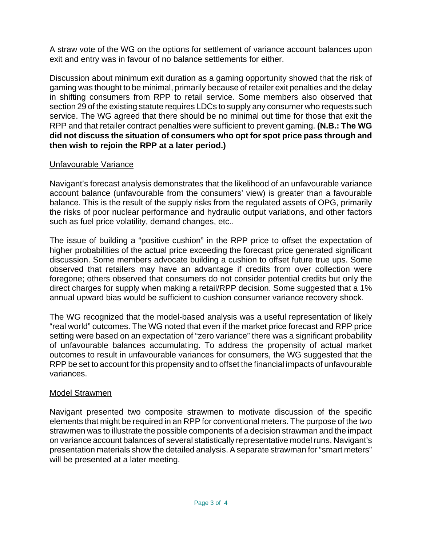A straw vote of the WG on the options for settlement of variance account balances upon exit and entry was in favour of no balance settlements for either.

Discussion about minimum exit duration as a gaming opportunity showed that the risk of gaming was thought to be minimal, primarily because of retailer exit penalties and the delay in shifting consumers from RPP to retail service. Some members also observed that section 29 of the existing statute requires LDCs to supply any consumer who requests such service. The WG agreed that there should be no minimal out time for those that exit the RPP and that retailer contract penalties were sufficient to prevent gaming. **(N.B.: The WG did not discuss the situation of consumers who opt for spot price pass through and then wish to rejoin the RPP at a later period.)**

### Unfavourable Variance

Navigant's forecast analysis demonstrates that the likelihood of an unfavourable variance account balance (unfavourable from the consumers' view) is greater than a favourable balance. This is the result of the supply risks from the regulated assets of OPG, primarily the risks of poor nuclear performance and hydraulic output variations, and other factors such as fuel price volatility, demand changes, etc..

The issue of building a "positive cushion" in the RPP price to offset the expectation of higher probabilities of the actual price exceeding the forecast price generated significant discussion. Some members advocate building a cushion to offset future true ups. Some observed that retailers may have an advantage if credits from over collection were foregone; others observed that consumers do not consider potential credits but only the direct charges for supply when making a retail/RPP decision. Some suggested that a 1% annual upward bias would be sufficient to cushion consumer variance recovery shock.

The WG recognized that the model-based analysis was a useful representation of likely "real world" outcomes. The WG noted that even if the market price forecast and RPP price setting were based on an expectation of "zero variance" there was a significant probability of unfavourable balances accumulating. To address the propensity of actual market outcomes to result in unfavourable variances for consumers, the WG suggested that the RPP be set to account for this propensity and to offset the financial impacts of unfavourable variances.

## Model Strawmen

Navigant presented two composite strawmen to motivate discussion of the specific elements that might be required in an RPP for conventional meters. The purpose of the two strawmen was to illustrate the possible components of a decision strawman and the impact on variance account balances of several statistically representative model runs. Navigant's presentation materials show the detailed analysis. A separate strawman for "smart meters" will be presented at a later meeting.